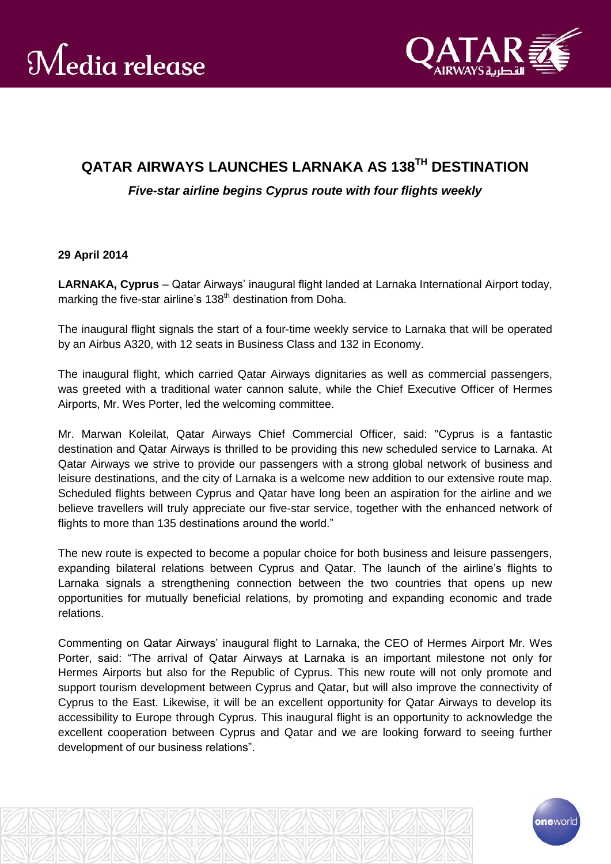

## **QATAR AIRWAYS LAUNCHES LARNAKA AS 138TH DESTINATION**

*Five-star airline begins Cyprus route with four flights weekly*

## **29 April 2014**

**LARNAKA, Cyprus** – Qatar Airways' inaugural flight landed at Larnaka International Airport today, marking the five-star airline's 138<sup>th</sup> destination from Doha.

The inaugural flight signals the start of a four-time weekly service to Larnaka that will be operated by an Airbus A320, with 12 seats in Business Class and 132 in Economy.

The inaugural flight, which carried Qatar Airways dignitaries as well as commercial passengers, was greeted with a traditional water cannon salute, while the Chief Executive Officer of Hermes Airports, Mr. Wes Porter, led the welcoming committee.

Mr. Marwan Koleilat, Qatar Airways Chief Commercial Officer, said: "Cyprus is a fantastic destination and Qatar Airways is thrilled to be providing this new scheduled service to Larnaka. At Qatar Airways we strive to provide our passengers with a strong global network of business and leisure destinations, and the city of Larnaka is a welcome new addition to our extensive route map. Scheduled flights between Cyprus and Qatar have long been an aspiration for the airline and we believe travellers will truly appreciate our five-star service, together with the enhanced network of flights to more than 135 destinations around the world."

The new route is expected to become a popular choice for both business and leisure passengers, expanding bilateral relations between Cyprus and Qatar. The launch of the airline's flights to Larnaka signals a strengthening connection between the two countries that opens up new opportunities for mutually beneficial relations, by promoting and expanding economic and trade relations.

Commenting on Qatar Airways' inaugural flight to Larnaka, the CEO of Hermes Airport Mr. Wes Porter, said: "The arrival of Qatar Airways at Larnaka is an important milestone not only for Hermes Airports but also for the Republic of Cyprus. This new route will not only promote and support tourism development between Cyprus and Qatar, but will also improve the connectivity of Cyprus to the East. Likewise, it will be an excellent opportunity for Qatar Airways to develop its accessibility to Europe through Cyprus. This inaugural flight is an opportunity to acknowledge the excellent cooperation between Cyprus and Qatar and we are looking forward to seeing further development of our business relations".